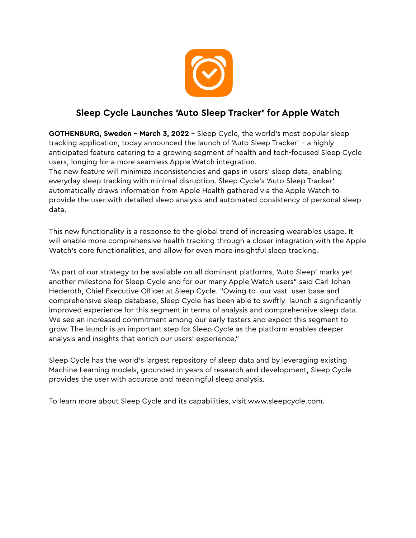

## **Sleep Cycle Launches 'Auto Sleep Tracker' for Apple Watch**

**GOTHENBURG, Sweden – March 3, 2022** – Sleep Cycle, the world's most popular sleep tracking application, today announced the launch of 'Auto Sleep Tracker' - a highly anticipated feature catering to a growing segment of health and tech-focused Sleep Cycle users, longing for a more seamless Apple Watch integration.

The new feature will minimize inconsistencies and gaps in users' sleep data, enabling everyday sleep tracking with minimal disruption. Sleep Cycle's 'Auto Sleep Tracker' automatically draws information from Apple Health gathered via the Apple Watch to provide the user with detailed sleep analysis and automated consistency of personal sleep data.

This new functionality is a response to the global trend of increasing wearables usage. It will enable more comprehensive health tracking through a closer integration with the Apple Watch's core functionalities, and allow for even more insightful sleep tracking.

"As part of our strategy to be available on all dominant platforms, 'Auto Sleep' marks yet another milestone for Sleep Cycle and for our many Apple Watch users" said Carl Johan Hederoth, Chief Executive Officer at Sleep Cycle. "Owing to our vast user base and comprehensive sleep database, Sleep Cycle has been able to swiftly launch a significantly improved experience for this segment in terms of analysis and comprehensive sleep data. We see an increased commitment among our early testers and expect this segment to grow. The launch is an important step for Sleep Cycle as the platform enables deeper analysis and insights that enrich our users' experience."

Sleep Cycle has the world's largest repository of sleep data and by leveraging existing Machine Learning models, grounded in years of research and development, Sleep Cycle provides the user with accurate and meaningful sleep analysis.

To learn more about Sleep Cycle and its capabilities, visit www.sleepcycle.com.